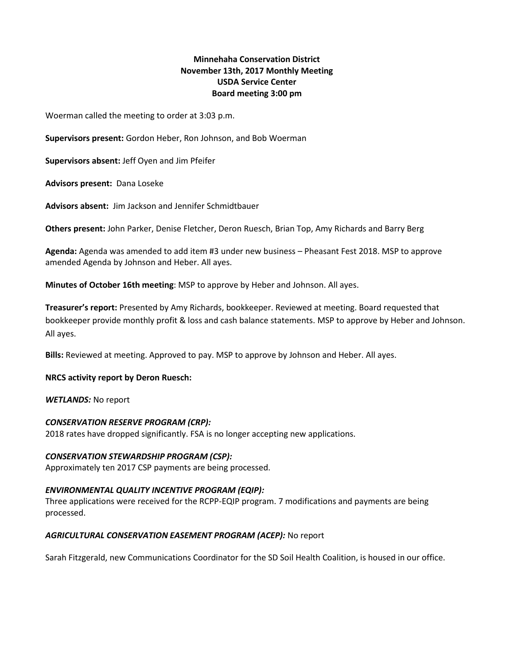# **Minnehaha Conservation District November 13th, 2017 Monthly Meeting USDA Service Center Board meeting 3:00 pm**

Woerman called the meeting to order at 3:03 p.m.

**Supervisors present:** Gordon Heber, Ron Johnson, and Bob Woerman

**Supervisors absent:** Jeff Oyen and Jim Pfeifer

**Advisors present:** Dana Loseke

**Advisors absent:** Jim Jackson and Jennifer Schmidtbauer

**Others present:** John Parker, Denise Fletcher, Deron Ruesch, Brian Top, Amy Richards and Barry Berg

**Agenda:** Agenda was amended to add item #3 under new business – Pheasant Fest 2018. MSP to approve amended Agenda by Johnson and Heber. All ayes.

**Minutes of October 16th meeting**: MSP to approve by Heber and Johnson. All ayes.

**Treasurer's report:** Presented by Amy Richards, bookkeeper. Reviewed at meeting. Board requested that bookkeeper provide monthly profit & loss and cash balance statements. MSP to approve by Heber and Johnson. All ayes.

**Bills:** Reviewed at meeting. Approved to pay. MSP to approve by Johnson and Heber. All ayes.

### **NRCS activity report by Deron Ruesch:**

*WETLANDS:* No report

### *CONSERVATION RESERVE PROGRAM (CRP):*

2018 rates have dropped significantly. FSA is no longer accepting new applications.

## *CONSERVATION STEWARDSHIP PROGRAM (CSP):*

Approximately ten 2017 CSP payments are being processed.

## *ENVIRONMENTAL QUALITY INCENTIVE PROGRAM (EQIP):*

Three applications were received for the RCPP-EQIP program. 7 modifications and payments are being processed.

## *AGRICULTURAL CONSERVATION EASEMENT PROGRAM (ACEP):* No report

Sarah Fitzgerald, new Communications Coordinator for the SD Soil Health Coalition, is housed in our office.